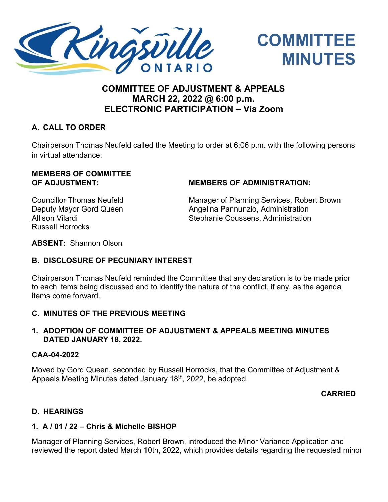



# **COMMITTEE OF ADJUSTMENT & APPEALS MARCH 22, 2022 @ 6:00 p.m. ELECTRONIC PARTICIPATION – Via Zoom**

## **A. CALL TO ORDER**

Chairperson Thomas Neufeld called the Meeting to order at 6:06 p.m. with the following persons in virtual attendance:

# **MEMBERS OF COMMITTEE**

#### **OF ADJUSTMENT: MEMBERS OF ADMINISTRATION:**

Russell Horrocks

Councillor Thomas Neufeld Manager of Planning Services, Robert Brown Deputy Mayor Gord Queen **Angelina Pannunzio, Administration** Allison Vilardi Nation Newslett Coussens, Administration

**ABSENT:** Shannon Olson

#### **B. DISCLOSURE OF PECUNIARY INTEREST**

Chairperson Thomas Neufeld reminded the Committee that any declaration is to be made prior to each items being discussed and to identify the nature of the conflict, if any, as the agenda items come forward.

#### **C. MINUTES OF THE PREVIOUS MEETING**

#### **1. ADOPTION OF COMMITTEE OF ADJUSTMENT & APPEALS MEETING MINUTES DATED JANUARY 18, 2022.**

#### **CAA-04-2022**

Moved by Gord Queen, seconded by Russell Horrocks, that the Committee of Adjustment & Appeals Meeting Minutes dated January 18th, 2022, be adopted.

# **CARRIED**

#### **D. HEARINGS**

#### **1. A / 01 / 22 – Chris & Michelle BISHOP**

Manager of Planning Services, Robert Brown, introduced the Minor Variance Application and reviewed the report dated March 10th, 2022, which provides details regarding the requested minor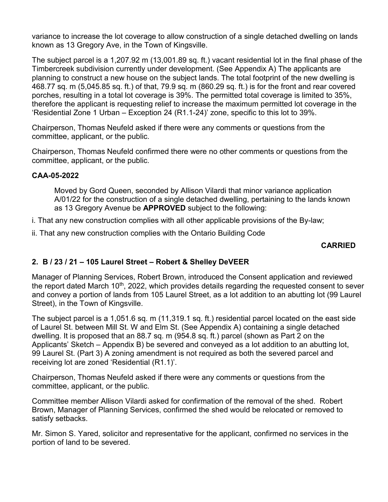variance to increase the lot coverage to allow construction of a single detached dwelling on lands known as 13 Gregory Ave, in the Town of Kingsville.

The subject parcel is a 1,207.92 m (13,001.89 sq. ft.) vacant residential lot in the final phase of the Timbercreek subdivision currently under development. (See Appendix A) The applicants are planning to construct a new house on the subject lands. The total footprint of the new dwelling is 468.77 sq. m (5,045.85 sq. ft.) of that, 79.9 sq. m (860.29 sq. ft.) is for the front and rear covered porches, resulting in a total lot coverage is 39%. The permitted total coverage is limited to 35%, therefore the applicant is requesting relief to increase the maximum permitted lot coverage in the 'Residential Zone 1 Urban – Exception 24 (R1.1-24)' zone, specific to this lot to 39%.

Chairperson, Thomas Neufeld asked if there were any comments or questions from the committee, applicant, or the public.

Chairperson, Thomas Neufeld confirmed there were no other comments or questions from the committee, applicant, or the public.

#### **CAA-05-2022**

Moved by Gord Queen, seconded by Allison Vilardi that minor variance application A/01/22 for the construction of a single detached dwelling, pertaining to the lands known as 13 Gregory Avenue be **APPROVED** subject to the following:

i. That any new construction complies with all other applicable provisions of the By-law;

ii. That any new construction complies with the Ontario Building Code

#### **CARRIED**

#### **2. B / 23 / 21 – 105 Laurel Street – Robert & Shelley DeVEER**

Manager of Planning Services, Robert Brown, introduced the Consent application and reviewed the report dated March  $10<sup>th</sup>$ , 2022, which provides details regarding the requested consent to sever and convey a portion of lands from 105 Laurel Street, as a lot addition to an abutting lot (99 Laurel Street), in the Town of Kingsville.

The subject parcel is a 1,051.6 sq. m (11,319.1 sq. ft.) residential parcel located on the east side of Laurel St. between Mill St. W and Elm St. (See Appendix A) containing a single detached dwelling. It is proposed that an 88.7 sq. m (954.8 sq. ft.) parcel (shown as Part 2 on the Applicants' Sketch – Appendix B) be severed and conveyed as a lot addition to an abutting lot, 99 Laurel St. (Part 3) A zoning amendment is not required as both the severed parcel and receiving lot are zoned 'Residential (R1.1)'.

Chairperson, Thomas Neufeld asked if there were any comments or questions from the committee, applicant, or the public.

Committee member Allison Vilardi asked for confirmation of the removal of the shed. Robert Brown, Manager of Planning Services, confirmed the shed would be relocated or removed to satisfy setbacks.

Mr. Simon S. Yared, solicitor and representative for the applicant, confirmed no services in the portion of land to be severed.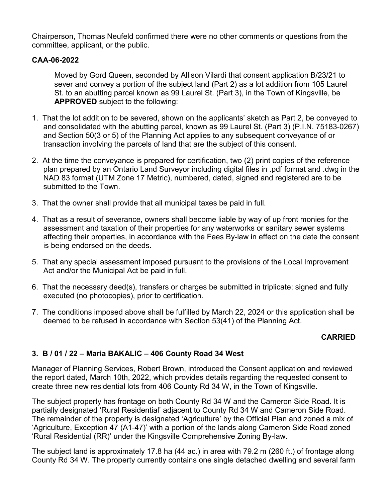Chairperson, Thomas Neufeld confirmed there were no other comments or questions from the committee, applicant, or the public.

#### **CAA-06-2022**

Moved by Gord Queen, seconded by Allison Vilardi that consent application B/23/21 to sever and convey a portion of the subject land (Part 2) as a lot addition from 105 Laurel St. to an abutting parcel known as 99 Laurel St. (Part 3), in the Town of Kingsville, be **APPROVED** subject to the following:

- 1. That the lot addition to be severed, shown on the applicants' sketch as Part 2, be conveyed to and consolidated with the abutting parcel, known as 99 Laurel St. (Part 3) (P.I.N. 75183-0267) and Section 50(3 or 5) of the Planning Act applies to any subsequent conveyance of or transaction involving the parcels of land that are the subject of this consent.
- 2. At the time the conveyance is prepared for certification, two (2) print copies of the reference plan prepared by an Ontario Land Surveyor including digital files in .pdf format and .dwg in the NAD 83 format (UTM Zone 17 Metric), numbered, dated, signed and registered are to be submitted to the Town.
- 3. That the owner shall provide that all municipal taxes be paid in full.
- 4. That as a result of severance, owners shall become liable by way of up front monies for the assessment and taxation of their properties for any waterworks or sanitary sewer systems affecting their properties, in accordance with the Fees By-law in effect on the date the consent is being endorsed on the deeds.
- 5. That any special assessment imposed pursuant to the provisions of the Local Improvement Act and/or the Municipal Act be paid in full.
- 6. That the necessary deed(s), transfers or charges be submitted in triplicate; signed and fully executed (no photocopies), prior to certification.
- 7. The conditions imposed above shall be fulfilled by March 22, 2024 or this application shall be deemed to be refused in accordance with Section 53(41) of the Planning Act.

#### **CARRIED**

#### **3. B / 01 / 22 – Maria BAKALIC – 406 County Road 34 West**

Manager of Planning Services, Robert Brown, introduced the Consent application and reviewed the report dated, March 10th, 2022, which provides details regarding the requested consent to create three new residential lots from 406 County Rd 34 W, in the Town of Kingsville.

The subject property has frontage on both County Rd 34 W and the Cameron Side Road. It is partially designated 'Rural Residential' adjacent to County Rd 34 W and Cameron Side Road. The remainder of the property is designated 'Agriculture' by the Official Plan and zoned a mix of 'Agriculture, Exception 47 (A1-47)' with a portion of the lands along Cameron Side Road zoned 'Rural Residential (RR)' under the Kingsville Comprehensive Zoning By-law.

The subject land is approximately 17.8 ha (44 ac.) in area with 79.2 m (260 ft.) of frontage along County Rd 34 W. The property currently contains one single detached dwelling and several farm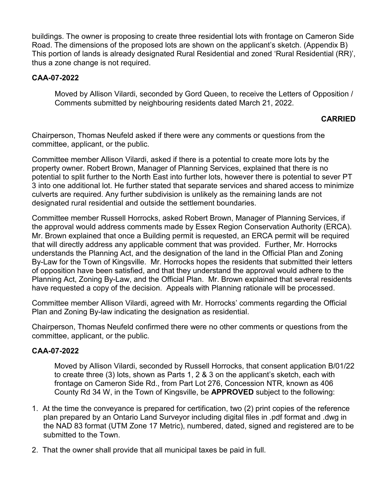buildings. The owner is proposing to create three residential lots with frontage on Cameron Side Road. The dimensions of the proposed lots are shown on the applicant's sketch. (Appendix B) This portion of lands is already designated Rural Residential and zoned 'Rural Residential (RR)', thus a zone change is not required.

#### **CAA-07-2022**

Moved by Allison Vilardi, seconded by Gord Queen, to receive the Letters of Opposition / Comments submitted by neighbouring residents dated March 21, 2022.

#### **CARRIED**

Chairperson, Thomas Neufeld asked if there were any comments or questions from the committee, applicant, or the public.

Committee member Allison Vilardi, asked if there is a potential to create more lots by the property owner. Robert Brown, Manager of Planning Services, explained that there is no potential to split further to the North East into further lots, however there is potential to sever PT 3 into one additional lot. He further stated that separate services and shared access to minimize culverts are required. Any further subdivision is unlikely as the remaining lands are not designated rural residential and outside the settlement boundaries.

Committee member Russell Horrocks, asked Robert Brown, Manager of Planning Services, if the approval would address comments made by Essex Region Conservation Authority (ERCA). Mr. Brown explained that once a Building permit is requested, an ERCA permit will be required that will directly address any applicable comment that was provided. Further, Mr. Horrocks understands the Planning Act, and the designation of the land in the Official Plan and Zoning By-Law for the Town of Kingsville. Mr. Horrocks hopes the residents that submitted their letters of opposition have been satisfied, and that they understand the approval would adhere to the Planning Act, Zoning By-Law, and the Official Plan. Mr. Brown explained that several residents have requested a copy of the decision. Appeals with Planning rationale will be processed.

Committee member Allison Vilardi, agreed with Mr. Horrocks' comments regarding the Official Plan and Zoning By-law indicating the designation as residential.

Chairperson, Thomas Neufeld confirmed there were no other comments or questions from the committee, applicant, or the public.

#### **CAA-07-2022**

Moved by Allison Vilardi, seconded by Russell Horrocks, that consent application B/01/22 to create three (3) lots, shown as Parts 1, 2 & 3 on the applicant's sketch, each with frontage on Cameron Side Rd., from Part Lot 276, Concession NTR, known as 406 County Rd 34 W, in the Town of Kingsville, be **APPROVED** subject to the following:

- 1. At the time the conveyance is prepared for certification, two (2) print copies of the reference plan prepared by an Ontario Land Surveyor including digital files in .pdf format and .dwg in the NAD 83 format (UTM Zone 17 Metric), numbered, dated, signed and registered are to be submitted to the Town.
- 2. That the owner shall provide that all municipal taxes be paid in full.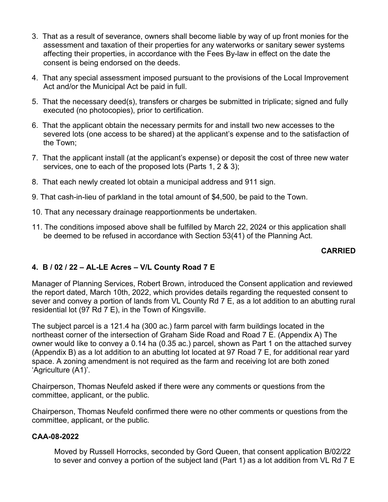- 3. That as a result of severance, owners shall become liable by way of up front monies for the assessment and taxation of their properties for any waterworks or sanitary sewer systems affecting their properties, in accordance with the Fees By-law in effect on the date the consent is being endorsed on the deeds.
- 4. That any special assessment imposed pursuant to the provisions of the Local Improvement Act and/or the Municipal Act be paid in full.
- 5. That the necessary deed(s), transfers or charges be submitted in triplicate; signed and fully executed (no photocopies), prior to certification.
- 6. That the applicant obtain the necessary permits for and install two new accesses to the severed lots (one access to be shared) at the applicant's expense and to the satisfaction of the Town;
- 7. That the applicant install (at the applicant's expense) or deposit the cost of three new water services, one to each of the proposed lots (Parts 1, 2 & 3);
- 8. That each newly created lot obtain a municipal address and 911 sign.
- 9. That cash-in-lieu of parkland in the total amount of \$4,500, be paid to the Town.
- 10. That any necessary drainage reapportionments be undertaken.
- 11. The conditions imposed above shall be fulfilled by March 22, 2024 or this application shall be deemed to be refused in accordance with Section 53(41) of the Planning Act.

#### **CARRIED**

# **4. B / 02 / 22 – AL-LE Acres – V/L County Road 7 E**

Manager of Planning Services, Robert Brown, introduced the Consent application and reviewed the report dated, March 10th, 2022, which provides details regarding the requested consent to sever and convey a portion of lands from VL County Rd 7 E, as a lot addition to an abutting rural residential lot (97 Rd 7 E), in the Town of Kingsville.

The subject parcel is a 121.4 ha (300 ac.) farm parcel with farm buildings located in the northeast corner of the intersection of Graham Side Road and Road 7 E. (Appendix A) The owner would like to convey a 0.14 ha (0.35 ac.) parcel, shown as Part 1 on the attached survey (Appendix B) as a lot addition to an abutting lot located at 97 Road 7 E, for additional rear yard space. A zoning amendment is not required as the farm and receiving lot are both zoned 'Agriculture (A1)'.

Chairperson, Thomas Neufeld asked if there were any comments or questions from the committee, applicant, or the public.

Chairperson, Thomas Neufeld confirmed there were no other comments or questions from the committee, applicant, or the public.

#### **CAA-08-2022**

Moved by Russell Horrocks, seconded by Gord Queen, that consent application B/02/22 to sever and convey a portion of the subject land (Part 1) as a lot addition from VL Rd 7 E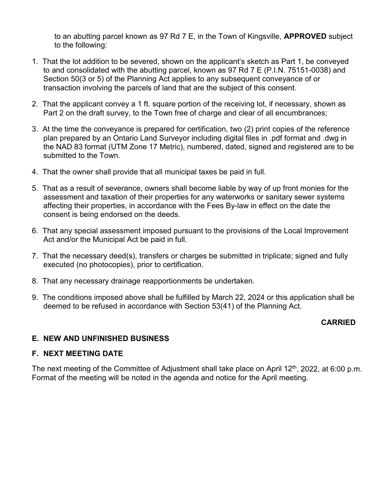to an abutting parcel known as 97 Rd 7 E, in the Town of Kingsville, **APPROVED** subject to the following:

- 1. That the lot addition to be severed, shown on the applicant's sketch as Part 1, be conveyed to and consolidated with the abutting parcel, known as 97 Rd 7 E (P.I.N. 75151-0038) and Section 50(3 or 5) of the Planning Act applies to any subsequent conveyance of or transaction involving the parcels of land that are the subject of this consent.
- 2. That the applicant convey a 1 ft. square portion of the receiving lot, if necessary, shown as Part 2 on the draft survey, to the Town free of charge and clear of all encumbrances;
- 3. At the time the conveyance is prepared for certification, two (2) print copies of the reference plan prepared by an Ontario Land Surveyor including digital files in .pdf format and .dwg in the NAD 83 format (UTM Zone 17 Metric), numbered, dated, signed and registered are to be submitted to the Town.
- 4. That the owner shall provide that all municipal taxes be paid in full.
- 5. That as a result of severance, owners shall become liable by way of up front monies for the assessment and taxation of their properties for any waterworks or sanitary sewer systems affecting their properties, in accordance with the Fees By-law in effect on the date the consent is being endorsed on the deeds.
- 6. That any special assessment imposed pursuant to the provisions of the Local Improvement Act and/or the Municipal Act be paid in full.
- 7. That the necessary deed(s), transfers or charges be submitted in triplicate; signed and fully executed (no photocopies), prior to certification.
- 8. That any necessary drainage reapportionments be undertaken.
- 9. The conditions imposed above shall be fulfilled by March 22, 2024 or this application shall be deemed to be refused in accordance with Section 53(41) of the Planning Act.

#### **CARRIED**

#### **E. NEW AND UNFINISHED BUSINESS**

#### **F. NEXT MEETING DATE**

The next meeting of the Committee of Adjustment shall take place on April 12<sup>th</sup>, 2022, at 6:00 p.m. Format of the meeting will be noted in the agenda and notice for the April meeting.